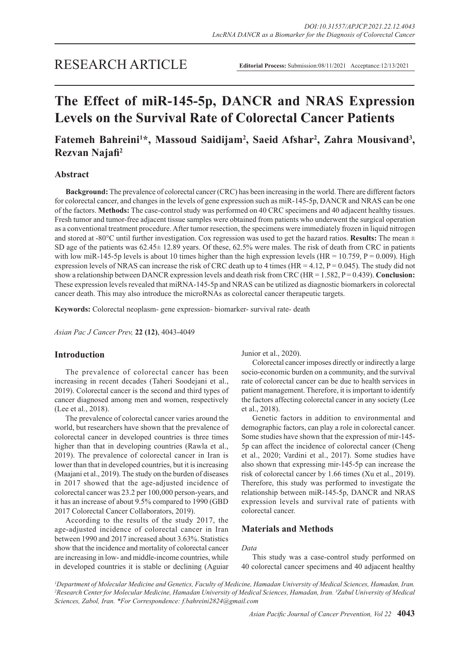# **The Effect of miR-145-5p, DANCR and NRAS Expression Levels on the Survival Rate of Colorectal Cancer Patients**

# Fatemeh Bahreini<sup>1\*</sup>, Massoud Saidijam<sup>2</sup>, Saeid Afshar<sup>2</sup>, Zahra Mousivand<sup>3</sup>, **Rezvan Najafi2**

# **Abstract**

**Background:** The prevalence of colorectal cancer (CRC) has been increasing in the world. There are different factors for colorectal cancer, and changes in the levels of gene expression such as miR-145-5p, DANCR and NRAS can be one of the factors. **Methods:** The case-control study was performed on 40 CRC specimens and 40 adjacent healthy tissues. Fresh tumor and tumor-free adjacent tissue samples were obtained from patients who underwent the surgical operation as a conventional treatment procedure. After tumor resection, the specimens were immediately frozen in liquid nitrogen and stored at -80 $^{\circ}$ C until further investigation. Cox regression was used to get the hazard ratios. **Results:** The mean  $\pm$ SD age of the patients was 62.45± 12.89 years. Of these, 62.5% were males. The risk of death from CRC in patients with low miR-145-5p levels is about 10 times higher than the high expression levels (HR = 10.759, P = 0.009). High expression levels of NRAS can increase the risk of CRC death up to 4 times (HR = 4.12,  $P = 0.045$ ). The study did not show a relationship between DANCR expression levels and death risk from CRC (HR = 1.582, P = 0.439). **Conclusion:** These expression levels revealed that miRNA-145-5p and NRAS can be utilized as diagnostic biomarkers in colorectal cancer death. This may also introduce the microRNAs as colorectal cancer therapeutic targets.

**Keywords:** Colorectal neoplasm- gene expression- biomarker- survival rate- death

*Asian Pac J Cancer Prev,* **22 (12)**, 4043-4049

# **Introduction**

The prevalence of colorectal cancer has been increasing in recent decades (Taheri Soodejani et al., 2019). Colorectal cancer is the second and third types of cancer diagnosed among men and women, respectively (Lee et al., 2018).

The prevalence of colorectal cancer varies around the world, but researchers have shown that the prevalence of colorectal cancer in developed countries is three times higher than that in developing countries (Rawla et al., 2019). The prevalence of colorectal cancer in Iran is lower than that in developed countries, but it is increasing (Maajani et al., 2019). The study on the burden of diseases in 2017 showed that the age-adjusted incidence of colorectal cancer was 23.2 per 100,000 person-years, and it has an increase of about 9.5% compared to 1990 (GBD 2017 Colorectal Cancer Collaborators, 2019).

According to the results of the study 2017, the age-adjusted incidence of colorectal cancer in Iran between 1990 and 2017 increased about 3.63%. Statistics show that the incidence and mortality of colorectal cancer are increasing in low- and middle-income countries, while in developed countries it is stable or declining (Aguiar Junior et al., 2020).

Colorectal cancer imposes directly or indirectly a large socio-economic burden on a community, and the survival rate of colorectal cancer can be due to health services in patient management. Therefore, it is important to identify the factors affecting colorectal cancer in any society (Lee et al., 2018).

Genetic factors in addition to environmental and demographic factors, can play a role in colorectal cancer. Some studies have shown that the expression of mir-145- 5p can affect the incidence of colorectal cancer (Cheng et al., 2020; Vardini et al., 2017). Some studies have also shown that expressing mir-145-5p can increase the risk of colorectal cancer by 1.66 times (Xu et al., 2019). Therefore, this study was performed to investigate the relationship between miR-145-5p, DANCR and NRAS expression levels and survival rate of patients with colorectal cancer.

# **Materials and Methods**

# *Data*

This study was a case-control study performed on 40 colorectal cancer specimens and 40 adjacent healthy

*1 Department of Molecular Medicine and Genetics, Faculty of Medicine, Hamadan University of Medical Sciences, Hamadan, Iran. 2 Research Center for Molecular Medicine, Hamadan University of Medical Sciences, Hamadan, Iran. 3 Zabul University of Medical Sciences, Zabol, Iran. \*For Correspondence: f.bahreini2824@gmail.com*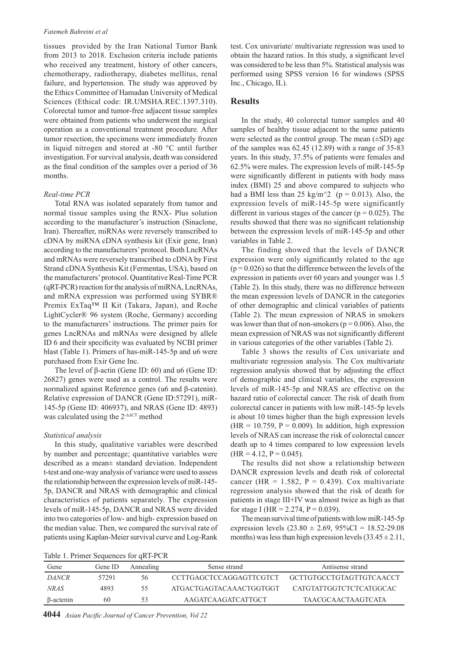#### *Fatemeh Bahreini et al*

tissues provided by the Iran National Tumor Bank from 2013 to 2018. Exclusion criteria include patients who received any treatment, history of other cancers, chemotherapy, radiotherapy, diabetes mellitus, renal failure, and hypertension. The study was approved by the Ethics Committee of Hamadan University of Medical Sciences (Ethical code: IR.UMSHA.REC.1397.310). Colorectal tumor and tumor-free adjacent tissue samples were obtained from patients who underwent the surgical operation as a conventional treatment procedure. After tumor resection, the specimens were immediately frozen in liquid nitrogen and stored at -80 °C until further investigation. For survival analysis, death was considered as the final condition of the samples over a period of 36 months.

#### *Real-time PCR*

Total RNA was isolated separately from tumor and normal tissue samples using the RNX- Plus solution according to the manufacturer's instruction (Sinaclone, Iran). Thereafter, miRNAs were reversely transcribed to cDNA by miRNA cDNA synthesis kit (Exir gene, Iran) according to the manufacturers' protocol. Both LncRNAs and mRNAs were reversely transcribed to cDNA by First Strand cDNA Synthesis Kit (Fermentas, USA), based on the manufacturers' protocol. Quantitative Real-Time PCR (qRT-PCR) reaction for the analysis of miRNA, LncRNAs, and mRNA expression was performed using SYBR® Premix ExTaq™ II Kit (Takara, Japan), and Roche LightCycler® 96 system (Roche, Germany) according to the manufacturers' instructions. The primer pairs for genes LncRNAs and mRNAs were designed by allele ID 6 and their specificity was evaluated by NCBI primer blast (Table 1). Primers of has-miR-145-5p and u6 were purchased from Exir Gene Inc.

The level of β-actin (Gene ID: 60) and u6 (Gene ID: 26827) genes were used as a control. The results were normalized against Reference genes (u6 and β-catenin). Relative expression of DANCR (Gene ID:57291), miR-145-5p (Gene ID: 406937), and NRAS (Gene ID: 4893) was calculated using the 2-∆∆CT method

#### *Statistical analysis*

In this study, qualitative variables were described by number and percentage; quantitative variables were described as a mean± standard deviation. Independent t-test and one-way analysis of variance were used to assess the relationship between the expression levels of miR-145- 5p, DANCR and NRAS with demographic and clinical characteristics of patients separately. The expression levels of miR-145-5p, DANCR and NRAS were divided into two categories of low- and high- expression based on the median value. Then, we compared the survival rate of patients using Kaplan-Meier survival curve and Log-Rank

test. Cox univariate/ multivariate regression was used to obtain the hazard ratios. In this study, a significant level was considered to be less than 5%. Statistical analysis was performed using SPSS version 16 for windows (SPSS Inc., Chicago, IL).

# **Results**

In the study, 40 colorectal tumor samples and 40 samples of healthy tissue adjacent to the same patients were selected as the control group. The mean  $(\pm SD)$  age of the samples was 62.45 (12.89) with a range of 35-83 years. In this study, 37.5% of patients were females and 62.5% were males. The expression levels of miR-145-5p were significantly different in patients with body mass index (BMI) 25 and above compared to subjects who had a BMI less than 25 kg/m<sup> $\sim$ </sup> (p = 0.013). Also, the expression levels of miR-145-5p were significantly different in various stages of the cancer ( $p = 0.025$ ). The results showed that there was no significant relationship between the expression levels of miR-145-5p and other variables in Table 2.

The finding showed that the levels of DANCR expression were only significantly related to the age  $(p = 0.026)$  so that the difference between the levels of the expression in patients over 60 years and younger was 1.5 (Table 2). In this study, there was no difference between the mean expression levels of DANCR in the categories of other demographic and clinical variables of patients (Table 2). The mean expression of NRAS in smokers was lower than that of non-smokers ( $p = 0.006$ ). Also, the mean expression of NRAS was not significantly different in various categories of the other variables (Table 2).

Table 3 shows the results of Cox univariate and multivariate regression analysis. The Cox multivariate regression analysis showed that by adjusting the effect of demographic and clinical variables, the expression levels of miR-145-5p and NRAS are effective on the hazard ratio of colorectal cancer. The risk of death from colorectal cancer in patients with low miR-145-5p levels is about 10 times higher than the high expression levels  $(HR = 10.759, P = 0.009)$ . In addition, high expression levels of NRAS can increase the risk of colorectal cancer death up to 4 times compared to low expression levels  $(HR = 4.12, P = 0.045).$ 

The results did not show a relationship between DANCR expression levels and death risk of colorectal cancer (HR = 1.582, P = 0.439). Cox multivariate regression analysis showed that the risk of death for patients in stage III+IV was almost twice as high as that for stage I (HR = 2.274,  $P = 0.039$ ).

The mean survival time of patients with low miR-145-5p expression levels  $(23.80 \pm 2.69, 95\% \text{CI} = 18.52-29.08)$ months) was less than high expression levels  $(33.45 \pm 2.11)$ ,

Table 1. Primer Sequences for qRT-PCR

| Gene         | Gene ID | Annealing | Sense strand            | Antisense strand           |
|--------------|---------|-----------|-------------------------|----------------------------|
| <i>DANCR</i> | 57291   | 56        | CCTTGAGCTCCAGGAGTTCGTCT | - GCTTGTGCCTGTAGTTGTCAACCT |
| NRAS         | 4893    | 55        | ATGACTGAGTACAAACTGGTGGT | CATGTATTGGTCTCTCATGGCAC    |
| β-actenin    | 60      | 53        | AAGATCAAGATCATTGCT      | TA ACGCA ACTA AGTCATA      |

**4044** *Asian Pacific Journal of Cancer Prevention, Vol 22*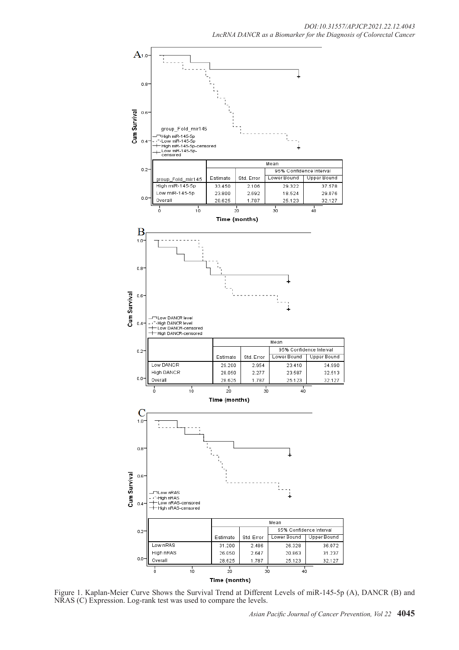

Figure 1. Kaplan-Meier Curve Shows the Survival Trend at Different Levels of miR-145-5p (A), DANCR (B) and NRAS (C) Expression. Log-rank test was used to compare the levels.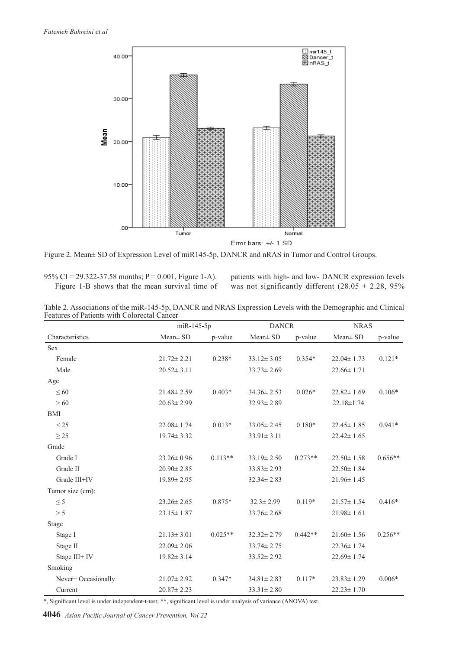

Figure 2. Mean± SD of Expression Level of miR145-5p, DANCR and nRAS in Tumor and Control Groups.

95% CI = 29.322-37.58 months; P = 0.001, Figure 1-A). Figure 1-B shows that the mean survival time of patients with high- and low- DANCR expression levels was not significantly different (28.05  $\pm$  2.28, 95%

Table 2. Associations of the miR-145-5p, DANCR and NRAS Expression Levels with the Demographic and Clinical Features of Patients with Colorectal Cancer

|                     |                  | miR-145-5p |                  | <b>DANCR</b> |                  | <b>NRAS</b> |  |
|---------------------|------------------|------------|------------------|--------------|------------------|-------------|--|
| Characteristics     | Mean± SD         | p-value    | $Mean \pm SD$    | p-value      | $Mean \pm SD$    | p-value     |  |
| <b>Sex</b>          |                  |            |                  |              |                  |             |  |
| Female              | $21.72 \pm 2.21$ | $0.238*$   | $33.12 \pm 3.05$ | $0.354*$     | $22.04 \pm 1.73$ | $0.121*$    |  |
| Male                | $20.52 \pm 3.11$ |            | $33.73 \pm 2.69$ |              | $22.66 \pm 1.71$ |             |  |
| Age                 |                  |            |                  |              |                  |             |  |
| $\leq 60$           | $21.48 \pm 2.59$ | $0.403*$   | $34.36 \pm 2.53$ | $0.026*$     | $22.82 \pm 1.69$ | $0.106*$    |  |
| > 60                | $20.63 \pm 2.99$ |            | $32.93 \pm 2.89$ |              | $22.18 \pm 1.74$ |             |  |
| <b>BMI</b>          |                  |            |                  |              |                  |             |  |
| < 25                | $22.08 \pm 1.74$ | $0.013*$   | $33.05 \pm 2.45$ | $0.180*$     | $22.45 \pm 1.85$ | $0.941*$    |  |
| $\geq$ 25           | $19.74 \pm 3.32$ |            | $33.91 \pm 3.11$ |              | $22.42 \pm 1.65$ |             |  |
| Grade               |                  |            |                  |              |                  |             |  |
| Grade I             | $23.26 \pm 0.96$ | $0.113**$  | $33.19 \pm 2.50$ | $0.273**$    | $22.50 \pm 1.58$ | $0.656**$   |  |
| Grade II            | $20.90 \pm 2.85$ |            | $33.83 \pm 2.93$ |              | $22.50 \pm 1.84$ |             |  |
| Grade III+IV        | $19.89 \pm 2.95$ |            | $32.34 \pm 2.83$ |              | $21.96 \pm 1.45$ |             |  |
| Tumor size (cm):    |                  |            |                  |              |                  |             |  |
| $\leq$ 5            | $23.26 \pm 2.65$ | 0.875*     | $32.3 \pm 2.99$  | $0.119*$     | $21.57 \pm 1.54$ | $0.416*$    |  |
| > 5                 | $23.15 \pm 1.87$ |            | $33.76 \pm 2.68$ |              | $21.98 \pm 1.61$ |             |  |
| Stage               |                  |            |                  |              |                  |             |  |
| Stage I             | $21.13 \pm 3.01$ | $0.025**$  | $32.32 \pm 2.79$ | $0.442**$    | $21.60 \pm 1.56$ | $0.256**$   |  |
| Stage II            | $22.09 \pm 2.06$ |            | $33.74 \pm 2.75$ |              | $22.36 \pm 1.74$ |             |  |
| Stage III+ IV       | $19.82 \pm 3.14$ |            | $33.52 \pm 2.92$ |              | $22.69 \pm 1.74$ |             |  |
| Smoking             |                  |            |                  |              |                  |             |  |
| Never+ Occasionally | $21.07 \pm 2.92$ | $0.347*$   | $34.81 \pm 2.83$ | $0.117*$     | $23.83 \pm 1.29$ | $0.006*$    |  |
| Current             | $20.87 \pm 2.23$ |            | $33.31 \pm 2.80$ |              | $22.23 \pm 1.70$ |             |  |

\*, Significant level is under independent-t-test; \*\*, significant level is under analysis of variance (ANOVA) test.

**4046** *Asian Pacific Journal of Cancer Prevention, Vol 22*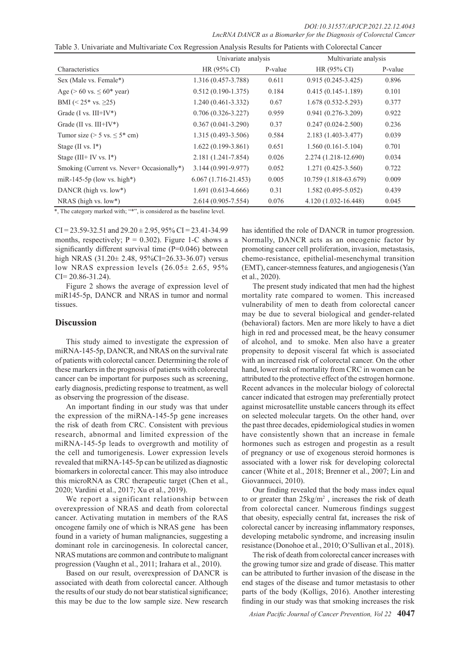| Table 3. Univariate and Multivariate Cox Regression Analysis Results for Patients with Colorectal Cancer |  |  |
|----------------------------------------------------------------------------------------------------------|--|--|
|                                                                                                          |  |  |

|                                            | Univariate analysis    |         | Multivariate analysis     |         |
|--------------------------------------------|------------------------|---------|---------------------------|---------|
| Characteristics                            | $HR(95\% CI)$          | P-value | HR (95% CI)               | P-value |
| Sex (Male vs. Female*)                     | 1.316 (0.457-3.788)    | 0.611   | $0.915(0.245-3.425)$      | 0.896   |
| Age ( $> 60$ vs. $\leq 60^*$ year)         | $0.512(0.190-1.375)$   | 0.184   | $0.415(0.145-1.189)$      | 0.101   |
| BMI ( $\leq 25$ * vs. $\geq 25$ )          | 1.240 (0.461-3.332)    | 0.67    | $1.678(0.532 - 5.293)$    | 0.377   |
| Grade $(I vs. III+IV^*)$                   | $0.706(0.326 - 3.227)$ | 0.959   | $0.941(0.276 - 3.209)$    | 0.922   |
| Grade (II vs. $III+IV^*$ )                 | $0.367(0.041 - 3.290)$ | 0.37    | $0.247(0.024 - 2.500)$    | 0.236   |
| Tumor size ( $> 5$ vs. $\leq 5$ * cm)      | $1.315(0.493 - 3.506)$ | 0.584   | 2.183 (1.403-3.477)       | 0.039   |
| Stage (II vs. $I^*$ )                      | $1.622(0.199-3.861)$   | 0.651   | $1.560(0.161 - 5.104)$    | 0.701   |
| Stage (III+ IV vs. $I^*$ )                 | 2.181 (1.241-7.854)    | 0.026   | 2.274 (1.218-12.690)      | 0.034   |
| Smoking (Current vs. Never+ Occasionally*) | 3.144 (0.991-9.977)    | 0.052   | $1,271$ $(0.425 - 3.560)$ | 0.722   |
| miR-145-5p (low vs. high*)                 | $6.067(1.716-21.453)$  | 0.005   | 10.759 (1.818-63.679)     | 0.009   |
| DANCR (high vs. low*)                      | $1.691(0.613-4.666)$   | 0.31    | 1.582 (0.495-5.052)       | 0.439   |
| NRAS (high vs. $low^*$ )                   | 2.614 (0.905-7.554)    | 0.076   | 4.120 (1.032-16.448)      | 0.045   |

\*, The category marked with; "\*", is considered as the baseline level.

 $CI = 23.59 - 32.51$  and  $29.20 \pm 2.95$ ,  $95\% CI = 23.41 - 34.99$ months, respectively;  $P = 0.302$ ). Figure 1-C shows a significantly different survival time (P=0.046) between high NRAS (31.20± 2.48, 95%CI=26.33-36.07) versus low NRAS expression levels (26.05± 2.65, 95%  $CI = 20.86 - 31.24$ .

Figure 2 shows the average of expression level of miR145-5p, DANCR and NRAS in tumor and normal tissues.

## **Discussion**

This study aimed to investigate the expression of miRNA-145-5p, DANCR, and NRAS on the survival rate of patients with colorectal cancer. Determining the role of these markers in the prognosis of patients with colorectal cancer can be important for purposes such as screening, early diagnosis, predicting response to treatment, as well as observing the progression of the disease.

An important finding in our study was that under the expression of the miRNA-145-5p gene increases the risk of death from CRC. Consistent with previous research, abnormal and limited expression of the miRNA-145-5p leads to overgrowth and motility of the cell and tumorigenesis. Lower expression levels revealed that miRNA-145-5p can be utilized as diagnostic biomarkers in colorectal cancer. This may also introduce this microRNA as CRC therapeutic target (Chen et al., 2020; Vardini et al., 2017; Xu et al., 2019).

We report a significant relationship between overexpression of NRAS and death from colorectal cancer. Activating mutation in members of the RAS oncogene family one of which is NRAS gene has been found in a variety of human malignancies, suggesting a dominant role in carcinogenesis. In colorectal cancer, NRAS mutations are common and contribute to malignant progression (Vaughn et al., 2011; Irahara et al., 2010).

Based on our result, overexpression of DANCR is associated with death from colorectal cancer. Although the results of our study do not bear statistical significance; this may be due to the low sample size. New research

has identified the role of DANCR in tumor progression. Normally, DANCR acts as an oncogenic factor by promoting cancer cell proliferation, invasion, metastasis, chemo-resistance, epithelial-mesenchymal transition (EMT), cancer-stemness features, and angiogenesis (Yan et al., 2020).

The present study indicated that men had the highest mortality rate compared to women. This increased vulnerability of men to death from colorectal cancer may be due to several biological and gender-related (behavioral) factors. Men are more likely to have a diet high in red and processed meat, be the heavy consumer of alcohol, and to smoke. Men also have a greater propensity to deposit visceral fat which is associated with an increased risk of colorectal cancer. On the other hand, lower risk of mortality from CRC in women can be attributed to the protective effect of the estrogen hormone. Recent advances in the molecular biology of colorectal cancer indicated that estrogen may preferentially protect against microsatellite unstable cancers through its effect on selected molecular targets. On the other hand, over the past three decades, epidemiological studies in women have consistently shown that an increase in female hormones such as estrogen and progestin as a result of pregnancy or use of exogenous steroid hormones is associated with a lower risk for developing colorectal cancer (White et al., 2018; Brenner et al., 2007; Lin and Giovannucci, 2010).

Our finding revealed that the body mass index equal to or greater than  $25\text{kg/m}^2$ , increases the risk of death from colorectal cancer. Numerous findings suggest that obesity, especially central fat, increases the risk of colorectal cancer by increasing inflammatory responses, developing metabolic syndrome, and increasing insulin resistance (Donohoe et al., 2010; O'Sullivan et al., 2018).

The risk of death from colorectal cancer increases with the growing tumor size and grade of disease. This matter can be attributed to further invasion of the disease in the end stages of the disease and tumor metastasis to other parts of the body (Kolligs, 2016). Another interesting finding in our study was that smoking increases the risk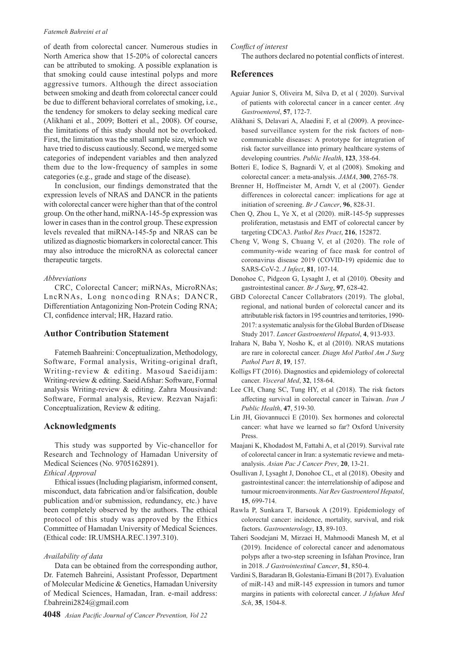#### *Fatemeh Bahreini et al*

of death from colorectal cancer. Numerous studies in North America show that 15-20% of colorectal cancers can be attributed to smoking. A possible explanation is that smoking could cause intestinal polyps and more aggressive tumors. Although the direct association between smoking and death from colorectal cancer could be due to different behavioral correlates of smoking, i.e., the tendency for smokers to delay seeking medical care (Alikhani et al., 2009; Botteri et al., 2008). Of course, the limitations of this study should not be overlooked. First, the limitation was the small sample size, which we have tried to discuss cautiously. Second, we merged some categories of independent variables and then analyzed them due to the low-frequency of samples in some categories (e.g., grade and stage of the disease).

In conclusion, our findings demonstrated that the expression levels of NRAS and DANCR in the patients with colorectal cancer were higher than that of the control group. On the other hand, miRNA-145-5p expression was lower in cases than in the control group. These expression levels revealed that miRNA-145-5p and NRAS can be utilized as diagnostic biomarkers in colorectal cancer. This may also introduce the microRNA as colorectal cancer therapeutic targets.

#### *Abbreviations*

CRC, Colorectal Cancer; miRNAs, MicroRNAs; LncRNAs, Long noncoding RNAs; DANCR, Differentiation Antagonizing Non-Protein Coding RNA; CI, confidence interval; HR, Hazard ratio.

# **Author Contribution Statement**

Fatemeh Baahreini: Conceptualization, Methodology, Software, Formal analysis, Writing-original draft, Writing-review & editing. Masoud Saeidijam: Writing-review & editing. Saeid Afshar: Software, Formal analysis Writing-review & editing. Zahra Mousivand: Software, Formal analysis, Review. Rezvan Najafi: Conceptualization, Review & editing.

# **Acknowledgments**

This study was supported by Vic-chancellor for Research and Technology of Hamadan University of Medical Sciences (No. 9705162891).

# *Ethical Approval*

Ethical issues (Including plagiarism, informed consent, misconduct, data fabrication and/or falsification, double publication and/or submission, redundancy, etc.) have been completely observed by the authors. The ethical protocol of this study was approved by the Ethics Committee of Hamadan University of Medical Sciences. (Ethical code: IR.UMSHA.REC.1397.310).

#### *Availability of data*

Data can be obtained from the corresponding author, Dr. Fatemeh Bahreini, Assistant Professor, Department of Molecular Medicine & Genetics, Hamadan University of Medical Sciences, Hamadan, Iran. e-mail address: f.bahreini2824@gmail.com

#### *Conflict of interest*

The authors declared no potential conflicts of interest.

# **References**

- Aguiar Junior S, Oliveira M, Silva D, et al ( 2020). Survival of patients with colorectal cancer in a cancer center. *Arq Gastroenterol*, **57**, 172-7.
- Alikhani S, Delavari A, Alaedini F, et al (2009). A provincebased surveillance system for the risk factors of noncommunicable diseases: A prototype for integration of risk factor surveillance into primary healthcare systems of developing countries. *Public Health*, **123**, 358-64.
- Botteri E, Iodice S, Bagnardi V, et al (2008). Smoking and colorectal cancer: a meta-analysis. *JAMA*, **300**, 2765-78.
- Brenner H, Hoffmeister M, Arndt V, et al (2007). Gender differences in colorectal cancer: implications for age at initiation of screening. *Br J Cancer*, **96**, 828-31.
- Chen Q, Zhou L, Ye X, et al (2020). miR-145-5p suppresses proliferation, metastasis and EMT of colorectal cancer by targeting CDCA3. *Pathol Res Pract*, **216**, 152872.
- Cheng V, Wong S, Chuang V, et al (2020). The role of community-wide wearing of face mask for control of coronavirus disease 2019 (COVID-19) epidemic due to SARS-CoV-2. *J Infect*, **81**, 107-14.
- Donohoe C, Pidgeon G, Lysaght J, et al (2010). Obesity and gastrointestinal cancer. *Br J Surg*, **97**, 628-42.
- GBD Colorectal Cancer Collabrators (2019). The global, regional, and national burden of colorectal cancer and its attributable risk factors in 195 countries and territories, 1990- 2017: a systematic analysis for the Global Burden of Disease Study 2017. *Lancet Gastroenterol Hepatol*, **4**, 913-933.
- Irahara N, Baba Y, Nosho K, et al (2010). NRAS mutations are rare in colorectal cancer. *Diagn Mol Pathol Am J Surg Pathol Part B*, **19**, 157.
- Kolligs FT (2016). Diagnostics and epidemiology of colorectal cancer. *Visceral Med*, **32**, 158-64.
- Lee CH, Chang SC, Tung HY, et al (2018). The risk factors affecting survival in colorectal cancer in Taiwan. *Iran J Public Health*, **47**, 519-30.
- Lin JH, Giovannucci E (2010). Sex hormones and colorectal cancer: what have we learned so far? Oxford University Press.
- Maajani K, Khodadost M, Fattahi A, et al (2019). Survival rate of colorectal cancer in Iran: a systematic reviewe and metaanalysis. *Asian Pac J Cancer Prev*, **20**, 13-21.
- Osullivan J, Lysaght J, Donohoe CL, et al (2018). Obesity and gastrointestinal cancer: the interrelationship of adipose and tumour microenvironments. *Nat Rev Gastroenterol Hepatol*, **15**, 699-714.
- Rawla P, Sunkara T, Barsouk A (2019). Epidemiology of colorectal cancer: incidence, mortality, survival, and risk factors. *Gastroenterology*, **13**, 89-103.
- Taheri Soodejani M, Mirzaei H, Mahmoodi Manesh M, et al (2019). Incidence of colorectal cancer and adenomatous polyps after a two-step screening in Isfahan Province, Iran in 2018. *J Gastrointestinal Cancer*, **51**, 850-4.
- Vardini S, Baradaran B, Golestania-Eimani B (2017). Evaluation of miR-143 and miR-145 expression in tumors and tumor margins in patients with colorectal cancer. *J Isfahan Med Sch*, **35**, 1504-8.